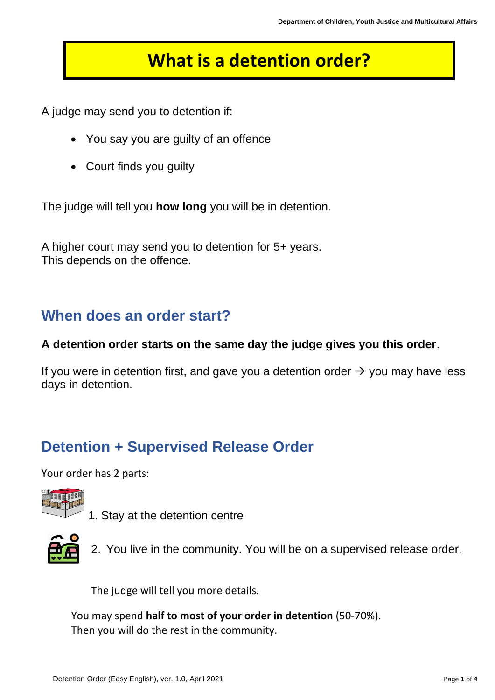# **What is a detention order?**

A judge may send you to detention if:

- You say you are guilty of an offence
- Court finds you guilty

The judge will tell you **how long** you will be in detention.

A higher court may send you to detention for 5+ years. This depends on the offence.

#### **When does an order start?**

#### **A detention order starts on the same day the judge gives you this order**.

If you were in detention first, and gave you a detention order  $\rightarrow$  you may have less days in detention.

#### **Detention + Supervised Release Order**

Your order has 2 parts:



1. Stay at the detention centre



2. You live in the community. You will be on a supervised release order.

The judge will tell you more details.

You may spend **half to most of your order in detention** (50-70%). Then you will do the rest in the community.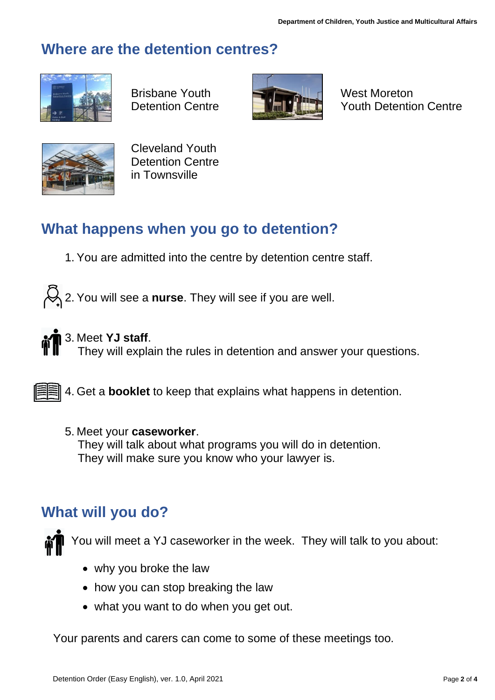#### **Where are the detention centres?**



Brisbane Youth **West Moreton** 



Detention Centre **WEIPHTEN** Youth Detention Centre



Cleveland Youth Detention Centre in Townsville

## **What happens when you go to detention?**

1. You are admitted into the centre by detention centre staff.

2. You will see a **nurse**. They will see if you are well.



#### 3. Meet **YJ staff**.

They will explain the rules in detention and answer your questions.

**4. Get a booklet** to keep that explains what happens in detention.

#### 5. Meet your **caseworker**.

 They will talk about what programs you will do in detention. They will make sure you know who your lawyer is.

### **What will you do?**



You will meet a YJ caseworker in the week. They will talk to you about:

- why you broke the law
- how you can stop breaking the law
- what you want to do when you get out.

Your parents and carers can come to some of these meetings too.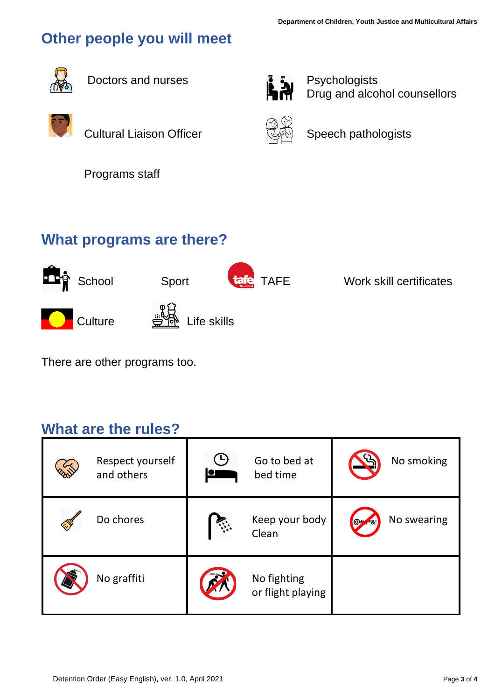# **Other people you will meet**



Doctors and nurses **Participal Executive** Psychologists



Cultural Liaison Officer **Search Speech pathologists** 

Drug and alcohol counsellors



Programs staff

### **What programs are there?**



There are other programs too.

#### **What are the rules?**

| Respect yourself<br>and others | ъ,<br>$\bullet$ | Go to bed at<br>bed time         | No smoking                             |
|--------------------------------|-----------------|----------------------------------|----------------------------------------|
| Do chores                      |                 | Keep your body<br>Clean          | No swearing<br>$\Theta^{\#}$<br>$-8.1$ |
| No graffiti                    |                 | No fighting<br>or flight playing |                                        |